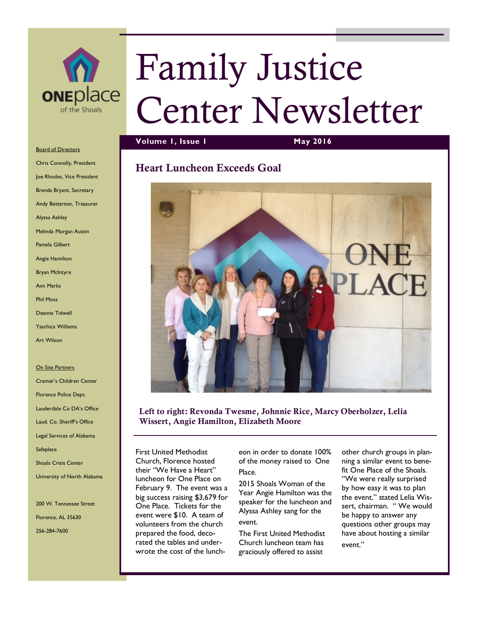

# Family Justice Center Newsletter

### **Volume 1, Issue 1 May 2016**

## **Heart Luncheon Exceeds Goal**



#### **Left to right: Revonda Twesme, Johnnie Rice, Marcy Oberholzer, Lelia Wissert, Angie Hamilton, Elizabeth Moore**

First United Methodist Church, Florence hosted their "We Have a Heart" luncheon for One Place on February 9. The event was a big success raising \$3,679 for One Place. Tickets for the event were \$10. A team of volunteers from the church prepared the food, decorated the tables and underwrote the cost of the lunch-

eon in order to donate 100% of the money raised to One Place.

2015 Shoals Woman of the Year Angie Hamilton was the speaker for the luncheon and Alyssa Ashley sang for the event.

The First United Methodist Church luncheon team has graciously offered to assist

other church groups in planning a similar event to benefit One Place of the Shoals. "We were really surprised by how easy it was to plan the event." stated Lelia Wissert, chairman. "We would be happy to answer any questions other groups may have about hosting a similar event."

Board of Directors Chris Connolly, President Joe Rhodes, Vice President Brenda Bryant, Secretary Andy Betterton, Treasurer Alyssa Ashley Melinda Morgan Austin Pamela Gilbert Angie Hamilton Bryan McIntyre Ann Marks Phil Moss Deanna Tidwell

Yaschica Williams

Art Wilson

#### On Site Partners

Cramer's Children Center Florence Police Dept. Lauderdale Co DA's Office Laud. Co. Sheriff's Office Legal Services of Alabama **Safeplace** Shoals Crisis Center University of North Alabama

200 W. Tennessee Street Florence, AL 35630 256-284-7600